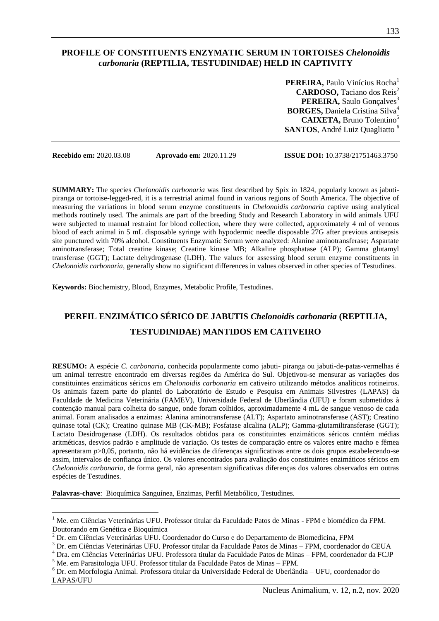## **PROFILE OF CONSTITUENTS ENZYMATIC SERUM IN TORTOISES** *Chelonoidis carbonaria* **(REPTILIA, TESTUDINIDAE) HELD IN CAPTIVITY**

**PEREIRA, Paulo Vinícius Rocha<sup>1</sup> CARDOSO,** Taciano dos Reis<sup>2</sup> **PEREIRA, Saulo Gonçalves**<sup>3</sup> **BORGES,** Daniela Cristina Silva<sup>4</sup> **CAIXETA,** Bruno Tolentino<sup>5</sup> **SANTOS**, André Luiz Quagliatto <sup>6</sup>

 $\overline{a}$ 

**Recebido em:** 2020.03.08 **Aprovado em:** 2020.11.29 **ISSUE DOI:** 10.3738/21751463.3750

**SUMMARY:** The species *Chelonoidis carbonaria* was first described by Spix in 1824, popularly known as jabutipiranga or tortoise-legged-red, it is a terrestrial animal found in various regions of South America. The objective of measuring the variations in blood serum enzyme constituents in *Chelonoidis carbonaria* captive using analytical methods routinely used. The animals are part of the breeding Study and Research Laboratory in wild animals UFU were subjected to manual restraint for blood collection, where they were collected, approximately 4 ml of venous blood of each animal in 5 mL disposable syringe with hypodermic needle disposable 27G after previous antisepsis site punctured with 70% alcohol. Constituents Enzymatic Serum were analyzed: Alanine aminotransferase; Aspartate aminotransferase; Total creatine kinase; Creatine kinase MB; Alkaline phosphatase (ALP); Gamma glutamyl transferase (GGT); Lactate dehydrogenase (LDH). The values for assessing blood serum enzyme constituents in *Chelonoidis carbonaria*, generally show no significant differences in values observed in other species of Testudines.

**Keywords:** Biochemistry, Blood, Enzymes, Metabolic Profile, Testudines.

# **PERFIL ENZIMÁTICO SÉRICO DE JABUTIS** *Chelonoidis carbonaria* **(REPTILIA, TESTUDINIDAE) MANTIDOS EM CATIVEIRO**

**RESUMO:** A espécie *C. carbonaria*, conhecida popularmente como jabuti- piranga ou jabuti-de-patas-vermelhas é um animal terrestre encontrado em diversas regiões da América do Sul. Objetivou-se mensurar as variações dos constituintes enzimáticos séricos em *Chelonoidis carbonaria* em cativeiro utilizando métodos analíticos rotineiros. Os animais fazem parte do plantel do Laboratório de Estudo e Pesquisa em Animais Silvestres (LAPAS) da Faculdade de Medicina Veterinária (FAMEV), Universidade Federal de Uberlândia (UFU) e foram submetidos à contenção manual para colheita do sangue, onde foram colhidos, aproximadamente 4 mL de sangue venoso de cada animal. Foram analisados a enzimas: Alanina aminotransferase (ALT); Aspartato aminotransferase (AST); Creatino quinase total (CK); Creatino quinase MB (CK-MB); Fosfatase alcalina (ALP); Gamma-glutamiltransferase (GGT); Lactato Desidrogenase (LDH). Os resultados obtidos para os constituintes enzimáticos séricos cnntém médias aritméticas, desvios padrão e amplitude de variação. Os testes de comparação entre os valores entre macho e fêmea apresentaram *p*>0,05, portanto, não há evidências de diferenças significativas entre os dois grupos estabelecendo-se assim, intervalos de confiança único. Os valores encontrados para avaliação dos constituintes enzimáticos séricos em *Chelonoidis carbonaria*, de forma geral, não apresentam significativas diferenças dos valores observados em outras espécies de Testudines.

**Palavras-chave**: Bioquímica Sanguínea, Enzimas, Perfil Metabólico, Testudines.

<sup>&</sup>lt;sup>1</sup> Me. em Ciências Veterinárias UFU. Professor titular da Faculdade Patos de Minas - FPM e biomédico da FPM. Doutorando em Genética e Bioquímica

<sup>2</sup> Dr. em Ciências Veterinárias UFU. Coordenador do Curso e do Departamento de Biomedicina, FPM

<sup>3</sup> Dr. em Ciências Veterinárias UFU. Professor titular da Faculdade Patos de Minas – FPM, coordenador do CEUA

<sup>4</sup> Dra. em Ciências Veterinárias UFU. Professora titular da Faculdade Patos de Minas – FPM, coordenador da FCJP

<sup>5</sup> Me. em Parasitologia UFU. Professor titular da Faculdade Patos de Minas – FPM.

<sup>6</sup> Dr. em Morfologia Animal. Professora titular da Universidade Federal de Uberlândia – UFU, coordenador do LAPAS/UFU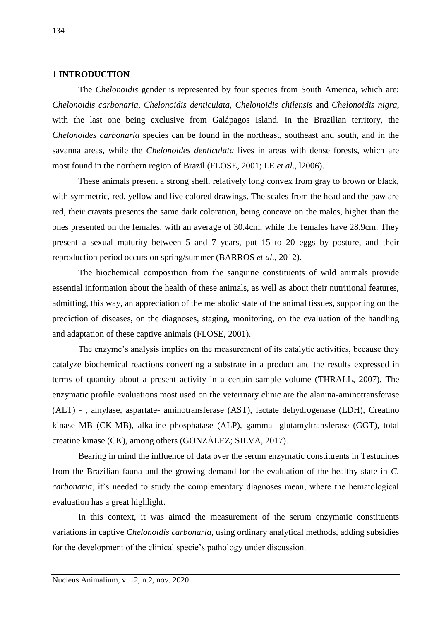#### **1 INTRODUCTION**

The *Chelonoidis* gender is represented by four species from South America, which are: *Chelonoidis carbonaria*, *Chelonoidis denticulata*, *Chelonoidis chilensis* and *Chelonoidis nigra*, with the last one being exclusive from Galápagos Island. In the Brazilian territory, the *Chelonoides carbonaria* species can be found in the northeast, southeast and south, and in the savanna areas, while the *Chelonoides denticulata* lives in areas with dense forests, which are most found in the northern region of Brazil (FLOSE, 2001; LE *et al*., l2006).

These animals present a strong shell, relatively long convex from gray to brown or black, with symmetric, red, yellow and live colored drawings. The scales from the head and the paw are red, their cravats presents the same dark coloration, being concave on the males, higher than the ones presented on the females, with an average of 30.4cm, while the females have 28.9cm. They present a sexual maturity between 5 and 7 years, put 15 to 20 eggs by posture, and their reproduction period occurs on spring/summer (BARROS *et al*., 2012).

The biochemical composition from the sanguine constituents of wild animals provide essential information about the health of these animals, as well as about their nutritional features, admitting, this way, an appreciation of the metabolic state of the animal tissues, supporting on the prediction of diseases, on the diagnoses, staging, monitoring, on the evaluation of the handling and adaptation of these captive animals (FLOSE, 2001).

The enzyme's analysis implies on the measurement of its catalytic activities, because they catalyze biochemical reactions converting a substrate in a product and the results expressed in terms of quantity about a present activity in a certain sample volume (THRALL, 2007). The enzymatic profile evaluations most used on the veterinary clinic are the alanina-aminotransferase (ALT) - , amylase, aspartate- aminotransferase (AST), lactate dehydrogenase (LDH), Creatino kinase MB (CK-MB), alkaline phosphatase (ALP), gamma- glutamyltransferase (GGT), total creatine kinase (CK), among others (GONZÁLEZ; SILVA, 2017).

Bearing in mind the influence of data over the serum enzymatic constituents in Testudines from the Brazilian fauna and the growing demand for the evaluation of the healthy state in *C. carbonaria*, it's needed to study the complementary diagnoses mean, where the hematological evaluation has a great highlight.

In this context, it was aimed the measurement of the serum enzymatic constituents variations in captive *Chelonoidis carbonaria*, using ordinary analytical methods, adding subsidies for the development of the clinical specie's pathology under discussion.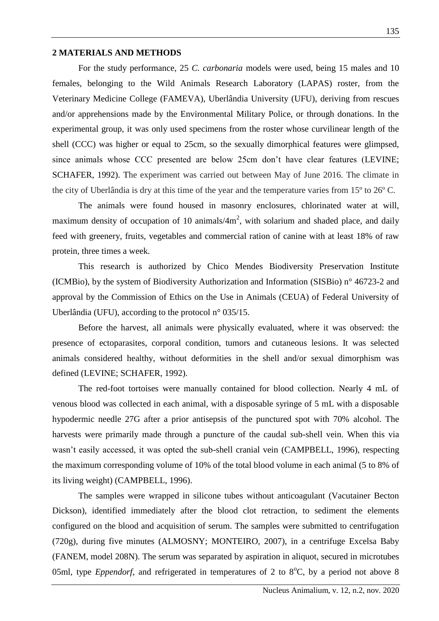# **2 MATERIALS AND METHODS**

For the study performance, 25 *C. carbonaria* models were used, being 15 males and 10 females, belonging to the Wild Animals Research Laboratory (LAPAS) roster, from the Veterinary Medicine College (FAMEVA), Uberlândia University (UFU), deriving from rescues and/or apprehensions made by the Environmental Military Police, or through donations. In the experimental group, it was only used specimens from the roster whose curvilinear length of the shell (CCC) was higher or equal to 25cm, so the sexually dimorphical features were glimpsed, since animals whose CCC presented are below 25cm don't have clear features (LEVINE; SCHAFER, 1992). The experiment was carried out between May of June 2016. The climate in the city of Uberlândia is dry at this time of the year and the temperature varies from 15º to 26º C.

The animals were found housed in masonry enclosures, chlorinated water at will, maximum density of occupation of 10 animals/ $4m^2$ , with solarium and shaded place, and daily feed with greenery, fruits, vegetables and commercial ration of canine with at least 18% of raw protein, three times a week.

This research is authorized by Chico Mendes Biodiversity Preservation Institute (ICMBio), by the system of Biodiversity Authorization and Information (SISBio) n° 46723-2 and approval by the Commission of Ethics on the Use in Animals (CEUA) of Federal University of Uberlândia (UFU), according to the protocol n° 035/15.

Before the harvest, all animals were physically evaluated, where it was observed: the presence of ectoparasites, corporal condition, tumors and cutaneous lesions. It was selected animals considered healthy, without deformities in the shell and/or sexual dimorphism was defined (LEVINE; SCHAFER, 1992).

The red-foot tortoises were manually contained for blood collection. Nearly 4 mL of venous blood was collected in each animal, with a disposable syringe of 5 mL with a disposable hypodermic needle 27G after a prior antisepsis of the punctured spot with 70% alcohol. The harvests were primarily made through a puncture of the caudal sub-shell vein. When this via wasn't easily accessed, it was opted the sub-shell cranial vein (CAMPBELL, 1996), respecting the maximum corresponding volume of 10% of the total blood volume in each animal (5 to 8% of its living weight) (CAMPBELL, 1996).

The samples were wrapped in silicone tubes without anticoagulant (Vacutainer Becton Dickson), identified immediately after the blood clot retraction, to sediment the elements configured on the blood and acquisition of serum. The samples were submitted to centrifugation (720g), during five minutes (ALMOSNY; MONTEIRO, 2007), in a centrifuge Excelsa Baby (FANEM, model 208N). The serum was separated by aspiration in aliquot, secured in microtubes 05ml, type *Eppendorf*, and refrigerated in temperatures of 2 to  $8^{\circ}$ C, by a period not above 8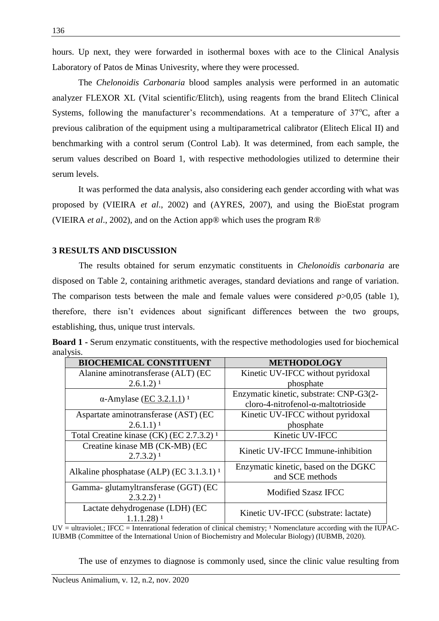hours. Up next, they were forwarded in isothermal boxes with ace to the Clinical Analysis Laboratory of Patos de Minas Univesrity, where they were processed.

The *Chelonoidis Carbonaria* blood samples analysis were performed in an automatic analyzer FLEXOR XL (Vital scientific/Elitch), using reagents from the brand Elitech Clinical Systems, following the manufacturer's recommendations. At a temperature of  $37^{\circ}$ C, after a previous calibration of the equipment using a multiparametrical calibrator (Elitech Elical II) and benchmarking with a control serum (Control Lab). It was determined, from each sample, the serum values described on Board 1, with respective methodologies utilized to determine their serum levels.

It was performed the data analysis, also considering each gender according with what was proposed by (VIEIRA *et al*., 2002) and (AYRES, 2007), and using the BioEstat program (VIEIRA *et al*., 2002), and on the Action app® which uses the program R®

## **3 RESULTS AND DISCUSSION**

The results obtained for serum enzymatic constituents in *Chelonoidis carbonaria* are disposed on Table 2, containing arithmetic averages, standard deviations and range of variation. The comparison tests between the male and female values were considered *p*>0,05 (table 1), therefore, there isn't evidences about significant differences between the two groups, establishing, thus, unique trust intervals.

|           |  |  | <b>Board 1 - Serum enzymatic constituents, with the respective methodologies used for biochemical</b> |  |
|-----------|--|--|-------------------------------------------------------------------------------------------------------|--|
| analysis. |  |  |                                                                                                       |  |

| <b>BIOCHEMICAL CONSTITUENT</b>                                  | <b>METHODOLOGY</b>                                      |  |  |  |  |
|-----------------------------------------------------------------|---------------------------------------------------------|--|--|--|--|
| Alanine aminotransferase (ALT) (EC                              | Kinetic UV-IFCC without pyridoxal                       |  |  |  |  |
| $2.6.1.2$ <sup>1</sup>                                          | phosphate                                               |  |  |  |  |
|                                                                 | Enzymatic kinetic, substrate: CNP-G3(2-                 |  |  |  |  |
| $\alpha$ -Amylase (EC 3.2.1.1) <sup>1</sup>                     | cloro-4-nitrofenol- $\alpha$ -maltotrioside             |  |  |  |  |
| Aspartate aminotransferase (AST) (EC                            | Kinetic UV-IFCC without pyridoxal                       |  |  |  |  |
| $2.6.1.1)$ <sup>1</sup>                                         | phosphate                                               |  |  |  |  |
| Total Creatine kinase (CK) (EC 2.7.3.2) <sup>1</sup>            | Kinetic UV-IFCC                                         |  |  |  |  |
| Creatine kinase MB (CK-MB) (EC                                  | Kinetic UV-IFCC Immune-inhibition                       |  |  |  |  |
| $2.7.3.2$ ) <sup>1</sup>                                        |                                                         |  |  |  |  |
| Alkaline phosphatase (ALP) (EC 3.1.3.1) $^1$                    | Enzymatic kinetic, based on the DGKC<br>and SCE methods |  |  |  |  |
| Gamma- glutamyltransferase (GGT) (EC<br>$2.3.2.2)$ <sup>1</sup> | <b>Modified Szasz IFCC</b>                              |  |  |  |  |
| Lactate dehydrogenase (LDH) (EC<br>$1.1.1.28$ ) <sup>1</sup>    | Kinetic UV-IFCC (substrate: lactate)                    |  |  |  |  |

 $UV =$  ultraviolet.; IFCC = Intenrational federation of clinical chemistry; <sup>1</sup> Nomenclature according with the IUPAC-IUBMB (Committee of the International Union of Biochemistry and Molecular Biology) (IUBMB, 2020).

The use of enzymes to diagnose is commonly used, since the clinic value resulting from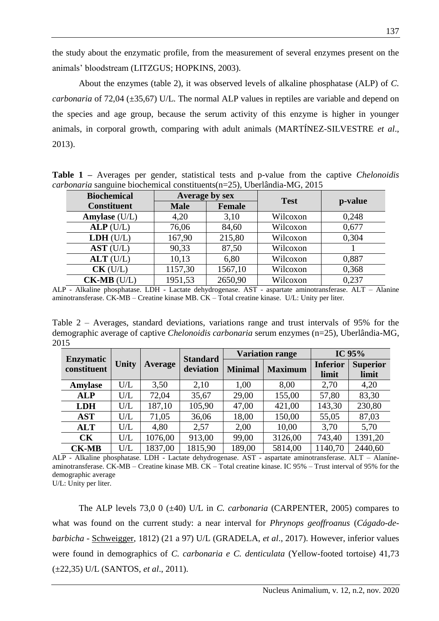the study about the enzymatic profile, from the measurement of several enzymes present on the animals' bloodstream (LITZGUS; HOPKINS, 2003).

About the enzymes (table 2), it was observed levels of alkaline phosphatase (ALP) of *C. carbonaria* of 72,04 ( $\pm$ 35,67) U/L. The normal ALP values in reptiles are variable and depend on the species and age group, because the serum activity of this enzyme is higher in younger animals, in corporal growth, comparing with adult animals (MARTÍNEZ-SILVESTRE *et al*., 2013).

**Table 1 –** Averages per gender, statistical tests and p-value from the captive *Chelonoidis carbonaria* sanguine biochemical constituents(n=25), Uberlândia-MG, 2015

| <b>Biochemical</b> | Average by sex               |         | <b>Test</b> |         |  |
|--------------------|------------------------------|---------|-------------|---------|--|
| <b>Constituent</b> | <b>Male</b><br><b>Female</b> |         |             | p-value |  |
| Amylase (U/L)      | 4,20                         | 3,10    | Wilcoxon    | 0,248   |  |
| ALP(U/L)           | 76,06                        | 84,60   | Wilcoxon    | 0,677   |  |
| LDH (U/L)          | 167,90                       | 215,80  | Wilcoxon    | 0,304   |  |
| AST (U/L)          | 90,33                        | 87,50   | Wilcoxon    |         |  |
| $ALT$ (U/L)        | 10,13                        | 6,80    | Wilcoxon    | 0,887   |  |
| $CK$ (U/L)         | 1157,30                      | 1567,10 | Wilcoxon    | 0,368   |  |
| $CK-MB$ (U/L)      | 1951,53                      | 2650,90 | Wilcoxon    | 0,237   |  |

ALP - Alkaline phosphatase. LDH - Lactate dehydrogenase. AST - aspartate aminotransferase. ALT – Alanine aminotransferase. CK-MB – Creatine kinase MB. CK – Total creatine kinase. U/L: Unity per liter.

Table 2 – Averages, standard deviations, variations range and trust intervals of 95% for the demographic average of captive *Chelonoidis carbonaria* serum enzymes (n=25), Uberlândia-MG, 2015

|                                 | <b>Unity</b> | <b>Average</b> | <b>Standard</b><br>deviation | <b>Variation range</b> |                | IC 95%          |                 |
|---------------------------------|--------------|----------------|------------------------------|------------------------|----------------|-----------------|-----------------|
| <b>Enzymatic</b><br>constituent |              |                |                              | <b>Minimal</b>         | <b>Maximum</b> | <b>Inferior</b> | <b>Superior</b> |
|                                 |              |                |                              |                        |                | limit           | limit           |
| <b>Amylase</b>                  | U/L          | 3,50           | 2,10                         | 1,00                   | 8,00           | 2,70            | 4,20            |
| <b>ALP</b>                      | U/L          | 72,04          | 35,67                        | 29,00                  | 155,00         | 57,80           | 83,30           |
| <b>LDH</b>                      | U/L          | 187,10         | 105,90                       | 47,00                  | 421,00         | 143,30          | 230,80          |
| <b>AST</b>                      | U/L          | 71,05          | 36,06                        | 18,00                  | 150,00         | 55,05           | 87,03           |
| <b>ALT</b>                      | U/L          | 4,80           | 2,57                         | 2,00                   | 10,00          | 3,70            | 5,70            |
| CK                              | U/L          | 1076,00        | 913,00                       | 99,00                  | 3126,00        | 743,40          | 1391,20         |
| <b>CK-MB</b>                    | U/L          | 1837,00        | 1815,90                      | 189,00                 | 5814,00        | 1140,70         | 2440,60         |

ALP - Alkaline phosphatase. LDH - Lactate dehydrogenase. AST - aspartate aminotransferase. ALT – Alanineaminotransferase. CK-MB – Creatine kinase MB. CK – Total creatine kinase. IC 95% – Trust interval of 95% for the demographic average

U/L: Unity per liter.

The ALP levels 73,0 0 (±40) U/L in *C. carbonaria* (CARPENTER, 2005) compares to what was found on the current study: a near interval for *Phrynops geoffroanus* (*Cágado-debarbicha* - [Schweigger,](https://en.wikipedia.org/wiki/August_Friedrich_Schweigger) 1812) (21 a 97) U/L (GRADELA, *et al*., 2017). However, inferior values were found in demographics of *C. carbonaria e C. denticulata* (Yellow-footed tortoise) 41,73 (±22,35) U/L (SANTOS, *et al*., 2011).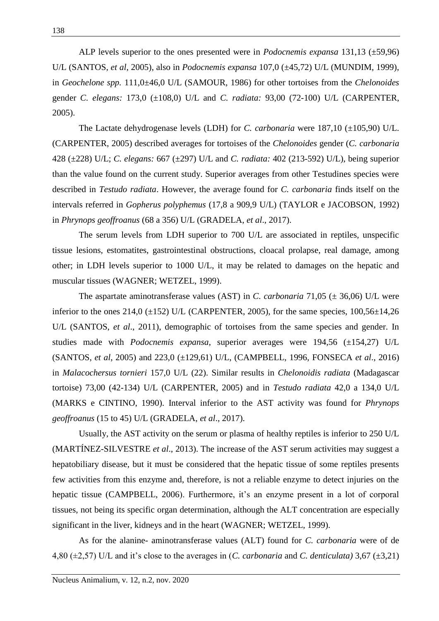ALP levels superior to the ones presented were in *Podocnemis expansa* 131,13 (±59,96) U/L (SANTOS, *et al*, 2005), also in *Podocnemis expansa* 107,0 (±45,72) U/L (MUNDIM, 1999), in *Geochelone spp.* 111,0±46,0 U/L (SAMOUR, 1986) for other tortoises from the *Chelonoides* gender *C. elegans:* 173,0 (±108,0) U/L and *C. radiata:* 93,00 (72-100) U/L (CARPENTER, 2005).

The Lactate dehydrogenase levels (LDH) for *C. carbonaria* were 187,10 (±105,90) U/L. (CARPENTER, 2005) described averages for tortoises of the *Chelonoides* gender (*C. carbonaria*  428 (±228) U/L; *C. elegans:* 667 (±297) U/L and *C. radiata:* 402 (213-592) U/L), being superior than the value found on the current study. Superior averages from other Testudines species were described in *Testudo radiata*. However, the average found for *C. carbonaria* finds itself on the intervals referred in *Gopherus polyphemus* (17,8 a 909,9 U/L) (TAYLOR e JACOBSON, 1992) in *Phrynops geoffroanus* (68 a 356) U/L (GRADELA, *et al*., 2017).

The serum levels from LDH superior to 700 U/L are associated in reptiles, unspecific tissue lesions, estomatites, gastrointestinal obstructions, cloacal prolapse, real damage, among other; in LDH levels superior to 1000 U/L, it may be related to damages on the hepatic and muscular tissues (WAGNER; WETZEL, 1999).

The aspartate aminotransferase values (AST) in *C. carbonaria* 71,05 (± 36,06) U/L were inferior to the ones 214,0  $(\pm 152)$  U/L (CARPENTER, 2005), for the same species, 100,56 $\pm 14,26$ U/L (SANTOS, *et al*., 2011), demographic of tortoises from the same species and gender. In studies made with *Podocnemis expansa*, superior averages were 194,56 (±154,27) U/L (SANTOS, *et al*, 2005) and 223,0 (±129,61) U/L, (CAMPBELL, 1996, FONSECA *et al*., 2016) in *Malacochersus tornieri* 157,0 U/L (22). Similar results in *Chelonoidis radiata* (Madagascar tortoise) 73,00 (42-134) U/L (CARPENTER, 2005) and in *Testudo radiata* 42,0 a 134,0 U/L (MARKS e CINTINO, 1990). Interval inferior to the AST activity was found for *Phrynops geoffroanus* (15 to 45) U/L (GRADELA, *et al*., 2017).

Usually, the AST activity on the serum or plasma of healthy reptiles is inferior to 250 U/L (MARTÍNEZ-SILVESTRE *et al*., 2013). The increase of the AST serum activities may suggest a hepatobiliary disease, but it must be considered that the hepatic tissue of some reptiles presents few activities from this enzyme and, therefore, is not a reliable enzyme to detect injuries on the hepatic tissue (CAMPBELL, 2006). Furthermore, it's an enzyme present in a lot of corporal tissues, not being its specific organ determination, although the ALT concentration are especially significant in the liver, kidneys and in the heart (WAGNER; WETZEL, 1999).

As for the alanine- aminotransferase values (ALT) found for *C. carbonaria* were of de 4,80 (±2,57) U/L and it's close to the averages in (*C. carbonaria* and *C. denticulata)* 3,67 (±3,21)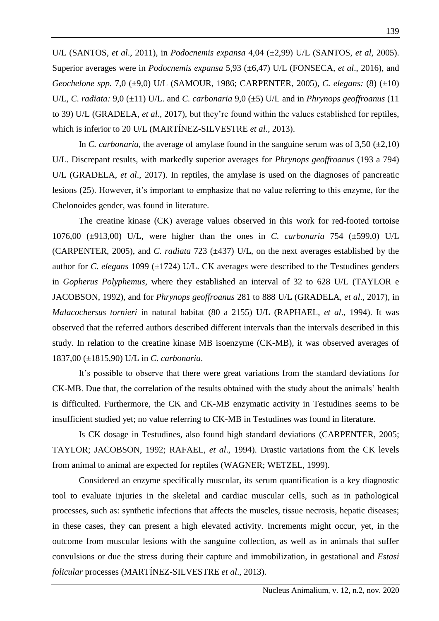U/L (SANTOS, *et al*., 2011), in *Podocnemis expansa* 4,04 (±2,99) U/L (SANTOS, *et al*, 2005). Superior averages were in *Podocnemis expansa* 5,93 (±6,47) U/L (FONSECA, *et al*., 2016), and *Geochelone spp.* 7,0 (±9,0) U/L (SAMOUR, 1986; CARPENTER, 2005), *C. elegans:* (8) (±10) U/L, *C. radiata:* 9,0 (±11) U/L. and *C. carbonaria* 9,0 (±5) U/L and in *Phrynops geoffroanus* (11 to 39) U/L (GRADELA, *et al*., 2017), but they're found within the values established for reptiles, which is inferior to 20 U/L (MARTÍNEZ-SILVESTRE *et al*., 2013).

In *C. carbonaria*, the average of amylase found in the sanguine serum was of 3,50 ( $\pm$ 2,10) U/L. Discrepant results, with markedly superior averages for *Phrynops geoffroanus* (193 a 794) U/L (GRADELA, *et al*., 2017). In reptiles, the amylase is used on the diagnoses of pancreatic lesions (25). However, it's important to emphasize that no value referring to this enzyme, for the Chelonoides gender, was found in literature.

The creatine kinase (CK) average values observed in this work for red-footed tortoise 1076,00 (±913,00) U/L, were higher than the ones in *C. carbonaria* 754 (±599,0) U/L (CARPENTER, 2005), and *C. radiata* 723 (±437) U/L, on the next averages established by the author for *C. elegans* 1099 (±1724) U/L. CK averages were described to the Testudines genders in *Gopherus Polyphemus*, where they established an interval of 32 to 628 U/L (TAYLOR e JACOBSON, 1992), and for *Phrynops geoffroanus* 281 to 888 U/L (GRADELA, *et al*., 2017), in *Malacochersus tornieri* in natural habitat (80 a 2155) U/L (RAPHAEL, *et al*., 1994). It was observed that the referred authors described different intervals than the intervals described in this study. In relation to the creatine kinase MB isoenzyme (CK-MB), it was observed averages of 1837,00 (±1815,90) U/L in *C. carbonaria*.

It's possible to observe that there were great variations from the standard deviations for CK-MB. Due that, the correlation of the results obtained with the study about the animals' health is difficulted. Furthermore, the CK and CK-MB enzymatic activity in Testudines seems to be insufficient studied yet; no value referring to CK-MB in Testudines was found in literature.

Is CK dosage in Testudines, also found high standard deviations (CARPENTER, 2005; TAYLOR; JACOBSON, 1992; RAFAEL, *et al*., 1994). Drastic variations from the CK levels from animal to animal are expected for reptiles (WAGNER; WETZEL, 1999).

Considered an enzyme specifically muscular, its serum quantification is a key diagnostic tool to evaluate injuries in the skeletal and cardiac muscular cells, such as in pathological processes, such as: synthetic infections that affects the muscles, tissue necrosis, hepatic diseases; in these cases, they can present a high elevated activity. Increments might occur, yet, in the outcome from muscular lesions with the sanguine collection, as well as in animals that suffer convulsions or due the stress during their capture and immobilization, in gestational and *Estasi folicular* processes (MARTÍNEZ-SILVESTRE *et al*., 2013).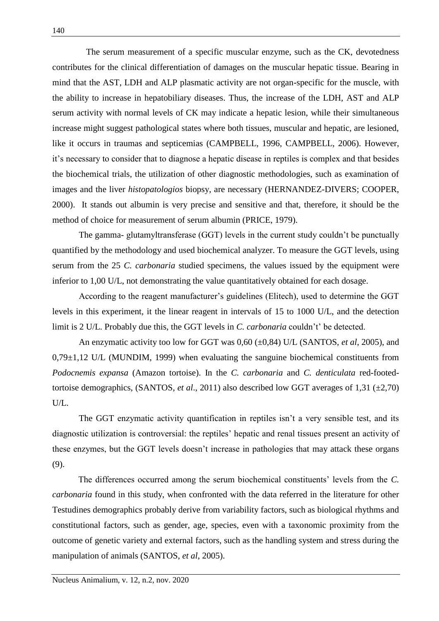The serum measurement of a specific muscular enzyme, such as the CK, devotedness contributes for the clinical differentiation of damages on the muscular hepatic tissue. Bearing in mind that the AST, LDH and ALP plasmatic activity are not organ-specific for the muscle, with the ability to increase in hepatobiliary diseases. Thus, the increase of the LDH, AST and ALP serum activity with normal levels of CK may indicate a hepatic lesion, while their simultaneous increase might suggest pathological states where both tissues, muscular and hepatic, are lesioned, like it occurs in traumas and septicemias (CAMPBELL, 1996, CAMPBELL, 2006). However, it's necessary to consider that to diagnose a hepatic disease in reptiles is complex and that besides the biochemical trials, the utilization of other diagnostic methodologies, such as examination of images and the liver *histopatologios* biopsy, are necessary (HERNANDEZ-DIVERS; COOPER, 2000). It stands out albumin is very precise and sensitive and that, therefore, it should be the method of choice for measurement of serum albumin (PRICE, 1979).

The gamma- glutamyltransferase (GGT) levels in the current study couldn't be punctually quantified by the methodology and used biochemical analyzer. To measure the GGT levels, using serum from the 25 *C. carbonaria* studied specimens, the values issued by the equipment were inferior to 1,00 U/L, not demonstrating the value quantitatively obtained for each dosage.

According to the reagent manufacturer's guidelines (Elitech), used to determine the GGT levels in this experiment, it the linear reagent in intervals of 15 to 1000 U/L, and the detection limit is 2 U/L. Probably due this, the GGT levels in *C. carbonaria* couldn't' be detected.

An enzymatic activity too low for GGT was 0,60 (±0,84) U/L (SANTOS, *et al*, 2005), and  $0.79\pm1.12$  U/L (MUNDIM, 1999) when evaluating the sanguine biochemical constituents from *Podocnemis expansa* (Amazon tortoise). In the *C. carbonaria* and *C. denticulata* red-footedtortoise demographics, (SANTOS, *et al*., 2011) also described low GGT averages of 1,31 (±2,70) U/L.

The GGT enzymatic activity quantification in reptiles isn't a very sensible test, and its diagnostic utilization is controversial: the reptiles' hepatic and renal tissues present an activity of these enzymes, but the GGT levels doesn't increase in pathologies that may attack these organs (9).

The differences occurred among the serum biochemical constituents' levels from the *C. carbonaria* found in this study, when confronted with the data referred in the literature for other Testudines demographics probably derive from variability factors, such as biological rhythms and constitutional factors, such as gender, age, species, even with a taxonomic proximity from the outcome of genetic variety and external factors, such as the handling system and stress during the manipulation of animals (SANTOS, *et al*, 2005).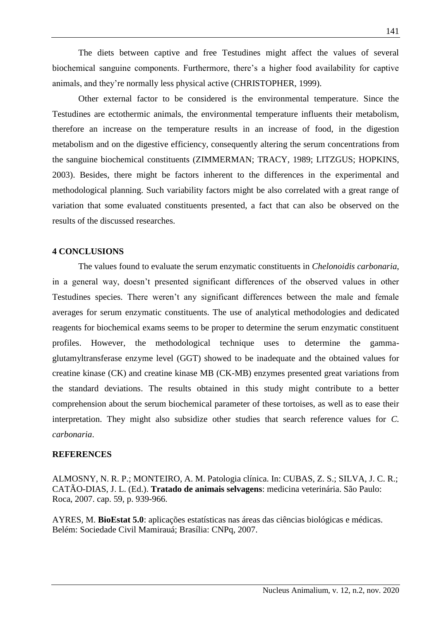The diets between captive and free Testudines might affect the values of several biochemical sanguine components. Furthermore, there's a higher food availability for captive animals, and they're normally less physical active (CHRISTOPHER, 1999).

Other external factor to be considered is the environmental temperature. Since the Testudines are ectothermic animals, the environmental temperature influents their metabolism, therefore an increase on the temperature results in an increase of food, in the digestion metabolism and on the digestive efficiency, consequently altering the serum concentrations from the sanguine biochemical constituents (ZIMMERMAN; TRACY, 1989; LITZGUS; HOPKINS, 2003). Besides, there might be factors inherent to the differences in the experimental and methodological planning. Such variability factors might be also correlated with a great range of variation that some evaluated constituents presented, a fact that can also be observed on the results of the discussed researches.

# **4 CONCLUSIONS**

The values found to evaluate the serum enzymatic constituents in *Chelonoidis carbonaria*, in a general way, doesn't presented significant differences of the observed values in other Testudines species. There weren't any significant differences between the male and female averages for serum enzymatic constituents. The use of analytical methodologies and dedicated reagents for biochemical exams seems to be proper to determine the serum enzymatic constituent profiles. However, the methodological technique uses to determine the gammaglutamyltransferase enzyme level (GGT) showed to be inadequate and the obtained values for creatine kinase (CK) and creatine kinase MB (CK-MB) enzymes presented great variations from the standard deviations. The results obtained in this study might contribute to a better comprehension about the serum biochemical parameter of these tortoises, as well as to ease their interpretation. They might also subsidize other studies that search reference values for *C. carbonaria*.

#### **REFERENCES**

ALMOSNY, N. R. P.; MONTEIRO, A. M. Patologia clínica. In: CUBAS, Z. S.; SILVA, J. C. R.; CATÃO-DIAS, J. L. (Ed.). **Tratado de animais selvagens**: medicina veterinária. São Paulo: Roca, 2007. cap. 59, p. 939-966.

AYRES, M. **BioEstat 5.0**: aplicações estatísticas nas áreas das ciências biológicas e médicas. Belém: Sociedade Civil Mamirauá; Brasília: CNPq, 2007.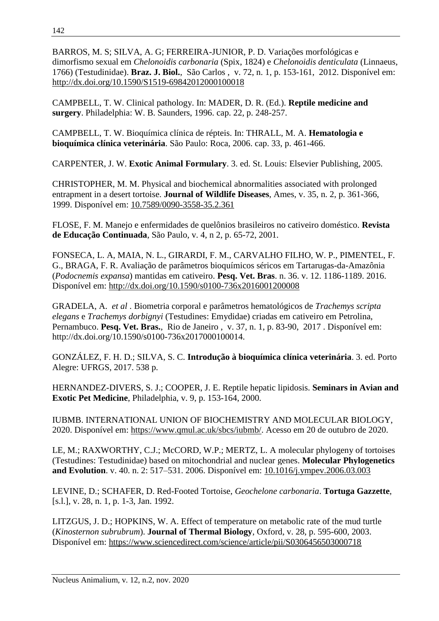BARROS, M. S; SILVA, A. G; FERREIRA-JUNIOR, P. D. Variações morfológicas e dimorfismo sexual em *Chelonoidis carbonaria* (Spix, 1824) e *Chelonoidis denticulata* (Linnaeus, 1766) (Testudinidae). **Braz. J. Biol.**, São Carlos , v. 72, n. 1, p. 153-161, 2012. Disponível em: <http://dx.doi.org/10.1590/S1519-69842012000100018>

CAMPBELL, T. W. Clinical pathology. In: MADER, D. R. (Ed.). **Reptile medicine and surgery**. Philadelphia: W. B. Saunders, 1996. cap. 22, p. 248-257.

CAMPBELL, T. W. Bioquímica clínica de répteis. In: THRALL, M. A. **Hematologia e bioquímica clínica veterinária**. São Paulo: Roca, 2006. cap. 33, p. 461-466.

CARPENTER, J. W. **Exotic Animal Formulary**. 3. ed. St. Louis: Elsevier Publishing, 2005.

CHRISTOPHER, M. M. Physical and biochemical abnormalities associated with prolonged entrapment in a desert tortoise. **Journal of Wildlife Diseases**, Ames, v. 35, n. 2, p. 361-366, 1999. Disponível em: [10.7589/0090-3558-35.2.361](https://doi.org/10.7589/0090-3558-35.2.361) 

FLOSE, F. M. Manejo e enfermidades de quelônios brasileiros no cativeiro doméstico. **Revista de Educação Continuada**, São Paulo, v. 4, n 2, p. 65-72, 2001.

FONSECA, L. A, MAIA, N. L., GIRARDI, F. M., CARVALHO FILHO, W. P., PIMENTEL, F. G., BRAGA, F. R. Avaliação de parâmetros bioquímicos séricos em Tartarugas-da-Amazônia (*Podocnemis expansa*) mantidas em cativeiro. **Pesq. Vet. Bras**. n. 36. v. 12. 1186-1189. 2016. Disponível em:<http://dx.doi.org/10.1590/s0100-736x2016001200008>

GRADELA, A. *et al* . Biometria corporal e parâmetros hematológicos de *Trachemys scripta elegans* e *Trachemys dorbignyi* (Testudines: Emydidae) criadas em cativeiro em Petrolina, Pernambuco. **Pesq. Vet. Bras.**, Rio de Janeiro , v. 37, n. 1, p. 83-90, 2017 . Disponível em: http://dx.doi.org/10.1590/s0100-736x2017000100014.

GONZÁLEZ, F. H. D.; SILVA, S. C. **Introdução à bioquímica clínica veterinária**. 3. ed. Porto Alegre: UFRGS, 2017. 538 p.

HERNANDEZ-DIVERS, S. J.; COOPER, J. E. Reptile hepatic lipidosis. **Seminars in Avian and Exotic Pet Medicine**, Philadelphia, v. 9, p. 153-164, 2000.

IUBMB. INTERNATIONAL UNION OF BIOCHEMISTRY AND MOLECULAR BIOLOGY, 2020. Disponível em: [https://www.qmul.ac.uk/sbcs/iubmb/.](https://www.qmul.ac.uk/sbcs/iubmb/) Acesso em 20 de outubro de 2020.

LE, M.; RAXWORTHY, C.J.; McCORD, W.P.; MERTZ, L. A molecular phylogeny of tortoises (Testudines: Testudinidae) based on mitochondrial and nuclear genes. **Molecular Phylogenetics and Evolution**. v. 40. n. 2: 517–531. 2006. Disponível em: [10.1016/j.ympev.2006.03.003](https://doi.org/10.1016/j.ympev.2006.03.003)

LEVINE, D.; SCHAFER, D. Red-Footed Tortoise, *Geochelone carbonaria*. **Tortuga Gazzette**, [s.l.], v. 28, n. 1, p. 1-3, Jan. 1992.

LITZGUS, J. D.; HOPKINS, W. A. Effect of temperature on metabolic rate of the mud turtle (*Kinosternon subrubrum*). **Journal of Thermal Biology**, Oxford, v. 28, p. 595-600, 2003. Disponível em:<https://www.sciencedirect.com/science/article/pii/S0306456503000718>